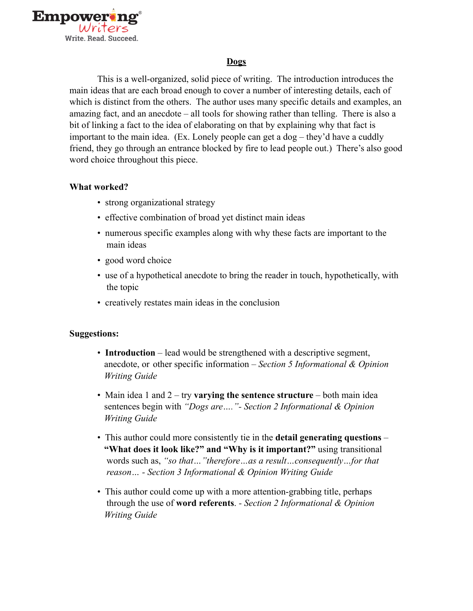

## **Dogs**

This is a well-organized, solid piece of writing. The introduction introduces the main ideas that are each broad enough to cover a number of interesting details, each of which is distinct from the others. The author uses many specific details and examples, an amazing fact, and an anecdote – all tools for showing rather than telling. There is also a bit of linking a fact to the idea of elaborating on that by explaining why that fact is important to the main idea. (Ex. Lonely people can get a dog – they'd have a cuddly friend, they go through an entrance blocked by fire to lead people out.) There's also good word choice throughout this piece.

## **What worked?**

- strong organizational strategy
- effective combination of broad yet distinct main ideas
- numerous specific examples along with why these facts are important to the main ideas
- good word choice
- use of a hypothetical anecdote to bring the reader in touch, hypothetically, with the topic
- creatively restates main ideas in the conclusion

## **Suggestions:**

- **Introduction** lead would be strengthened with a descriptive segment, anecdote, or other specific information – *Section 5 Informational & Opinion Writing Guide*
- Main idea 1 and 2 try **varying the sentence structure** both main idea sentences begin with *"Dogs are…."- Section 2 Informational & Opinion Writing Guide*
- This author could more consistently tie in the **detail generating questions "What does it look like?" and "Why is it important?"** using transitional words such as, *"so that…"therefore…as a result…consequently…for that reason… - Section 3 Informational & Opinion Writing Guide*
- This author could come up with a more attention-grabbing title, perhaps through the use of **word referents**. *- Section 2 Informational & Opinion Writing Guide*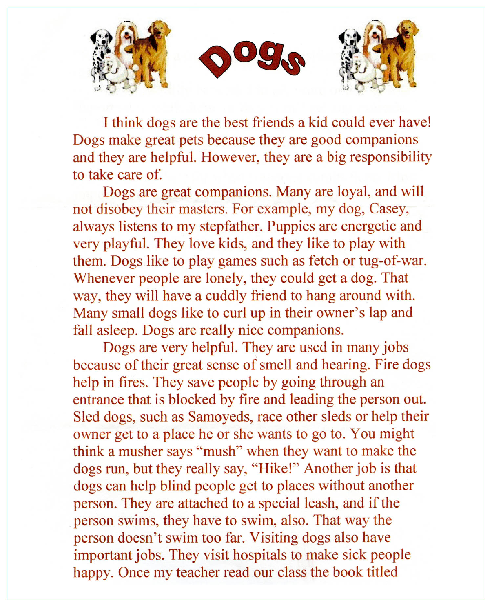

I think dogs are the best friends a kid could ever have! Dogs make great pets because they are good companions and they are helpful. However, they are a big responsibility to take care of.

Dogs are great companions. Many are loyal, and will not disobey their masters. For example, my dog, Casey, always listens to my stepfather. Puppies are energetic and very playful. They love kids, and they like to play with them. Dogs like to play games such as fetch or tug-of-war. Whenever people are lonely, they could get a dog. That way, they will have a cuddly friend to hang around with. Many small dogs like to curl up in their owner's lap and fall asleep. Dogs are really nice companions.

Dogs are very helpful. They are used in many jobs because of their great sense of smell and hearing. Fire dogs help in fires. They save people by going through an entrance that is blocked by fire and leading the person out. Sled dogs, such as Samoyeds, race other sleds or help their owner get to a place he or she wants to go to. You might think a musher says "mush" when they want to make the dogs run, but they really say, "Hike!" Another job is that dogs can help blind people get to places without another person. They are attached to a special leash, and if the person swims, they have to swim, also. That way the person doesn't swim too far. Visiting dogs also have important jobs. They visit hospitals to make sick people happy. Once my teacher read our class the book titled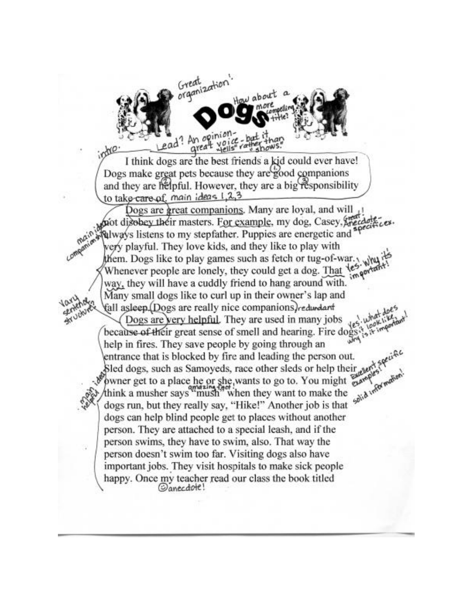

I think dogs are the best friends a kid could ever have! Dogs make great pets because they are good companions and they are helpful. However, they are a big responsibility to take-care of main ideas 1,2,3

Dogs are great companions. Many are loyal, and will pot disobey their masters. For example, my dog, Casey, Nalway's listens to my stepfather. Puppies are energetic and very playful. They love kids, and they like to play with them. Dogs like to play games such as fetch or tug-of-war. Whenever people are lonely, they could get a dog. That les way, they will have a cuddly friend to hang around with. Many small dogs like to curl up in their owner's lap and fall asleep.(Dogs are really nice companions) redurdant Dogs are very helpful. They are used in many jobs because of their great sense of smell and hearing. Fire dog help in fires. They save people by going through an entrance that is blocked by fire and leading the person out. Sled dogs, such as Samoyeds, race other sleds or help their auf Solid Information owner get to a place he or she, wants to go to. You might wants think a musher says<sup>om</sup> mush<sup>9</sup> when they want to make the dogs run, but they really say, "Hike!" Another job is that dogs can help blind people get to places without another person. They are attached to a special leash, and if the person swims, they have to swim, also. That way the person doesn't swim too far. Visiting dogs also have important jobs. They visit hospitals to make sick people happy. Once my teacher read our class the book titled Canecdote!